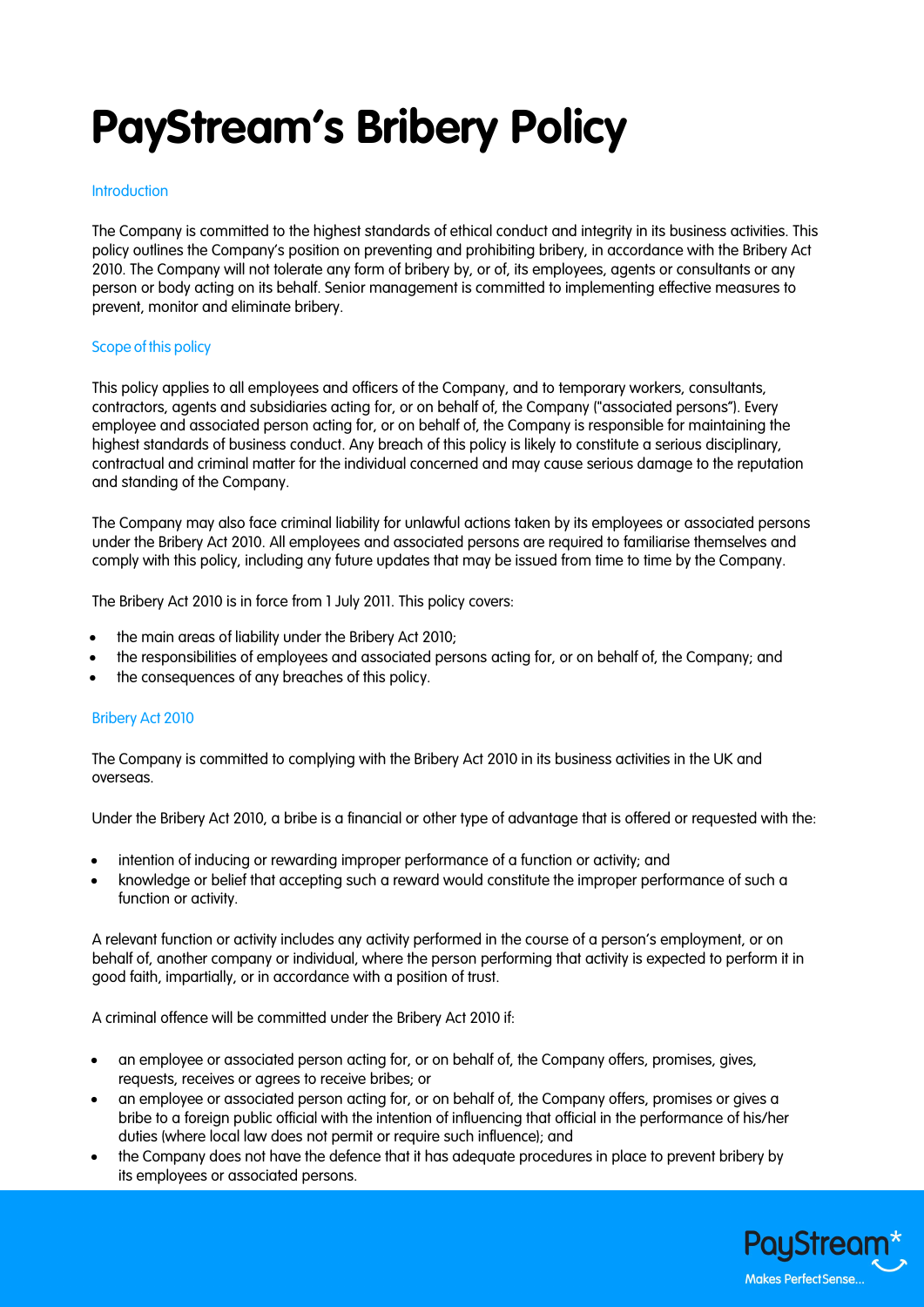# **PayStream's Bribery Policy**

# **Introduction**

The Company is committed to the highest standards of ethical conduct and integrity in its business activities. This policy outlines the Company's position on preventing and prohibiting bribery, in accordance with the Bribery Act 2010. The Company will not tolerate any form of bribery by, or of, its employees, agents or consultants or any person or body acting on its behalf. Senior management is committed to implementing effective measures to prevent, monitor and eliminate bribery.

# Scope of this policy

This policy applies to all employees and officers of the Company, and to temporary workers, consultants, contractors, agents and subsidiaries acting for, or on behalf of, the Company ("associated persons"). Every employee and associated person acting for, or on behalf of, the Company is responsible for maintaining the highest standards of business conduct. Any breach of this policy is likely to constitute a serious disciplinary, contractual and criminal matter for the individual concerned and may cause serious damage to the reputation and standing of the Company.

The Company may also face criminal liability for unlawful actions taken by its employees or associated persons under the Bribery Act 2010. All employees and associated persons are required to familiarise themselves and comply with this policy, including any future updates that may be issued from time to time by the Company.

The Bribery Act 2010 is in force from 1 July 2011. This policy covers:

- the main areas of liability under the Bribery Act 2010;
- the responsibilities of employees and associated persons acting for, or on behalf of, the Company; and
- the consequences of any breaches of this policy.

# Bribery Act 2010

The Company is committed to complying with the Bribery Act 2010 in its business activities in the UK and overseas.

Under the Bribery Act 2010, a bribe is a financial or other type of advantage that is offered or requested with the:

- intention of inducing or rewarding improper performance of a function or activity; and
- knowledge or belief that accepting such a reward would constitute the improper performance of such a function or activity.

A relevant function or activity includes any activity performed in the course of a person's employment, or on behalf of, another company or individual, where the person performing that activity is expected to perform it in good faith, impartially, or in accordance with a position of trust.

A criminal offence will be committed under the Bribery Act 2010 if:

- an employee or associated person acting for, or on behalf of, the Company offers, promises, gives, requests, receives or agrees to receive bribes; or
- an employee or associated person acting for, or on behalf of, the Company offers, promises or gives a bribe to a foreign public official with the intention of influencing that official in the performance of his/her duties (where local law does not permit or require such influence); and
- the Company does not have the defence that it has adequate procedures in place to prevent bribery by its employees or associated persons.

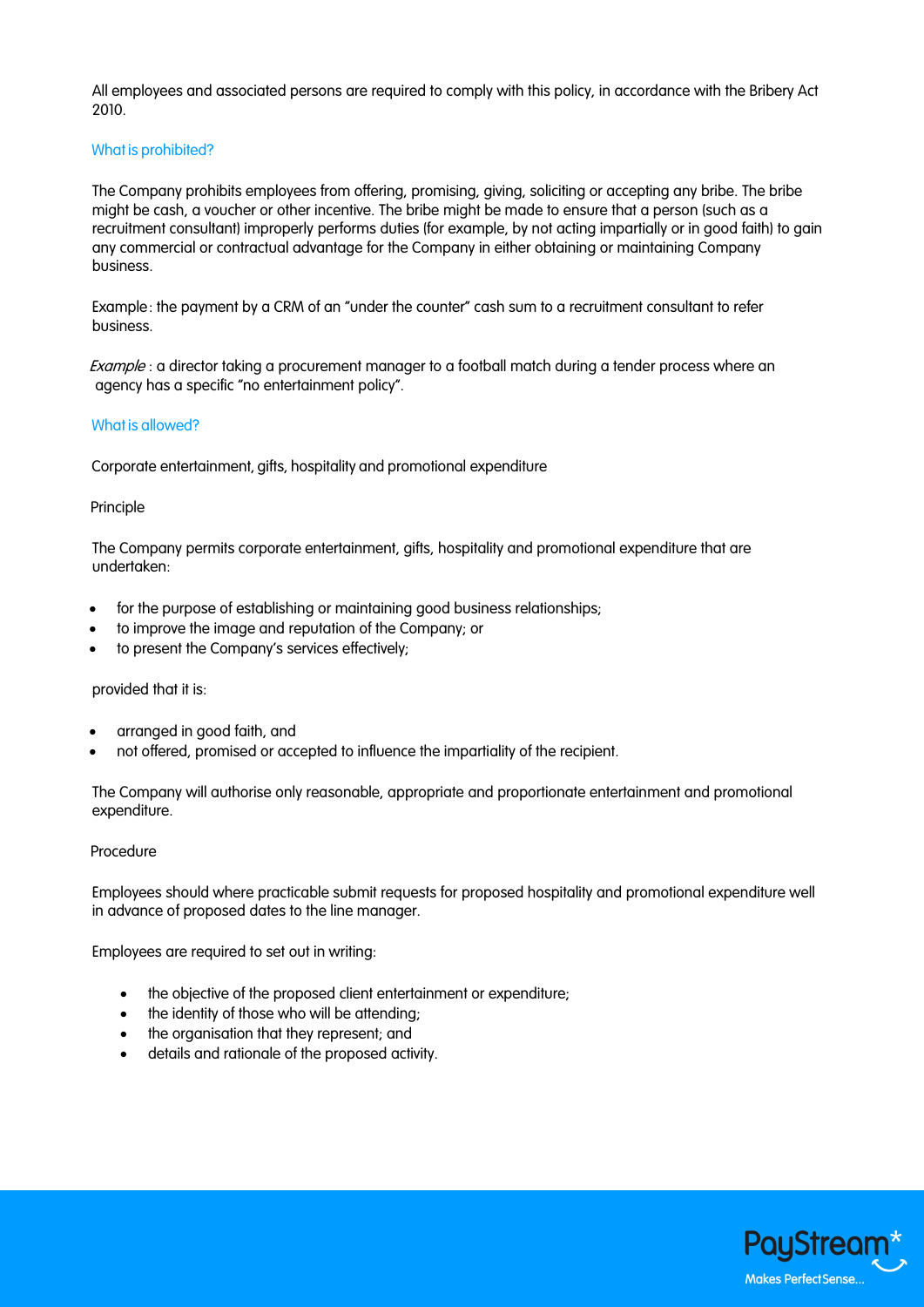All employees and associated persons are required to comply with this policy, in accordance with the Bribery Act 2010.

# What is prohibited?

The Company prohibits employees from offering, promising, giving, soliciting or accepting any bribe. The bribe might be cash, a voucher or other incentive. The bribe might be made to ensure that a person (such as a recruitment consultant) improperly performs duties (for example, by not acting impartially or in good faith) to gain any commercial or contractual advantage for the Company in either obtaining or maintaining Company business.

Example: the payment by a CRM of an "under the counter" cash sum to a recruitment consultant to refer business.

Example : a director taking a procurement manager to a football match during a tender process where an agency has a specific "no entertainment policy".

# What is allowed?

Corporate entertainment, gifts, hospitality and promotional expenditure

# Principle

The Company permits corporate entertainment, gifts, hospitality and promotional expenditure that are undertaken:

- for the purpose of establishing or maintaining good business relationships;
- to improve the image and reputation of the Company; or
- to present the Company's services effectively;

# provided that it is:

- arranged in good faith, and
- not offered, promised or accepted to influence the impartiality of the recipient.

The Company will authorise only reasonable, appropriate and proportionate entertainment and promotional expenditure.

# Procedure

Employees should where practicable submit requests for proposed hospitality and promotional expenditure well in advance of proposed dates to the line manager.

Employees are required to set out in writing:

- the objective of the proposed client entertainment or expenditure;
- the identity of those who will be attending;
- the organisation that they represent; and
- details and rationale of the proposed activity.

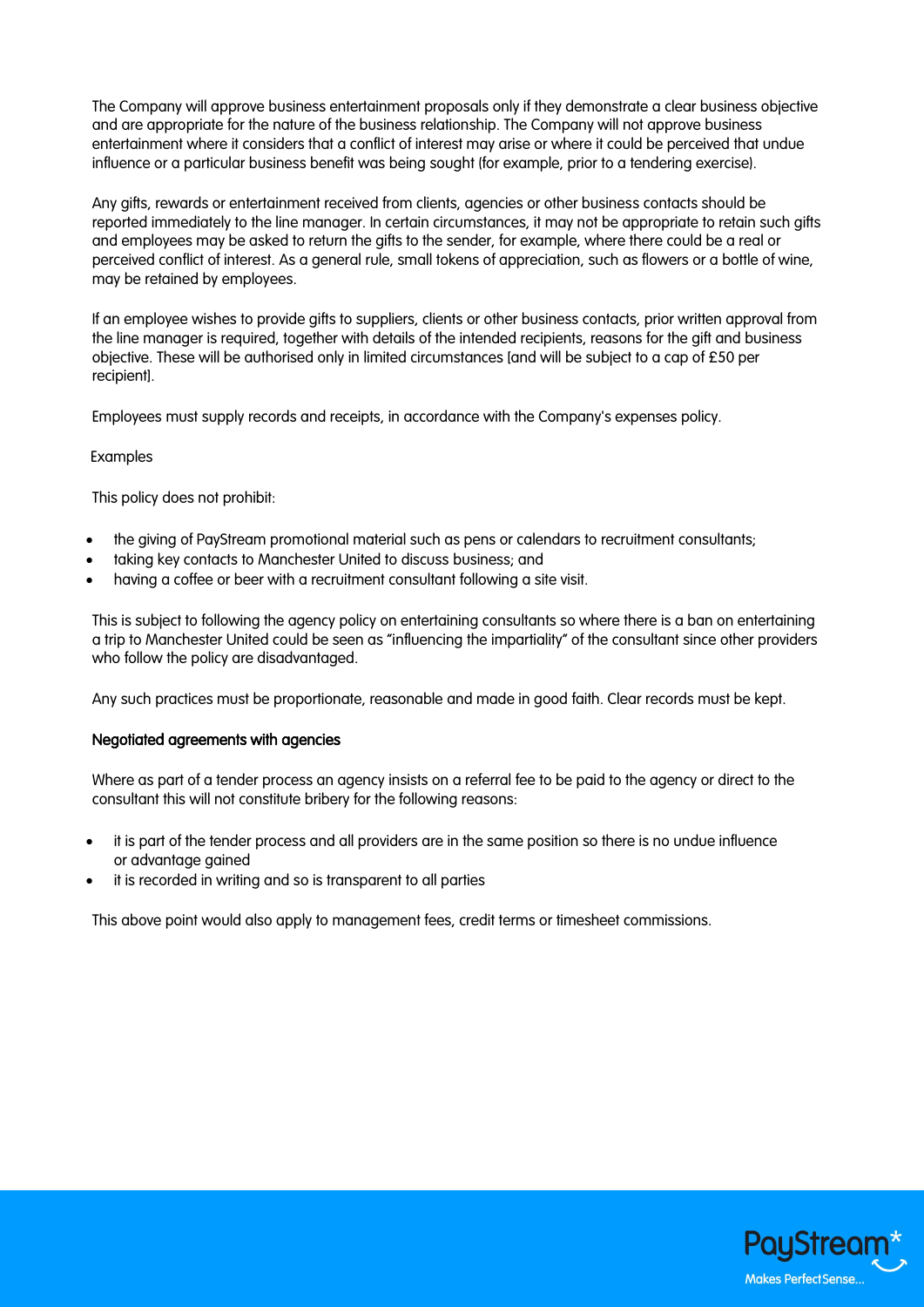The Company will approve business entertainment proposals only if they demonstrate a clear business objective and are appropriate for the nature of the business relationship. The Company will not approve business entertainment where it considers that a conflict of interest may arise or where it could be perceived that undue influence or a particular business benefit was being sought (for example, prior to a tendering exercise).

Any gifts, rewards or entertainment received from clients, agencies or other business contacts should be reported immediately to the line manager. In certain circumstances, it may not be appropriate to retain such gifts and employees may be asked to return the gifts to the sender, for example, where there could be a real or perceived conflict of interest. As a general rule, small tokens of appreciation, such as flowers or a bottle of wine, may be retained by employees.

If an employee wishes to provide gifts to suppliers, clients or other business contacts, prior written approval from the line manager is required, together with details of the intended recipients, reasons for the gift and business objective. These will be authorised only in limited circumstances [and will be subject to a cap of £50 per recipient].

Employees must supply records and receipts, in accordance with the Company's expenses policy.

# Examples

This policy does not prohibit:

- the giving of PayStream promotional material such as pens or calendars to recruitment consultants;
- taking key contacts to Manchester United to discuss business; and
- having a coffee or beer with a recruitment consultant following a site visit.

This is subject to following the agency policy on entertaining consultants so where there is a ban on entertaining a trip to Manchester United could be seen as "influencing the impartiality" of the consultant since other providers who follow the policy are disadvantaged.

Any such practices must be proportionate, reasonable and made in good faith. Clear records must be kept.

# Negotiated agreements with agencies

Where as part of a tender process an agency insists on a referral fee to be paid to the agency or direct to the consultant this will not constitute bribery for the following reasons:

- it is part of the tender process and all providers are in the same position so there is no undue influence or advantage gained
- it is recorded in writing and so is transparent to all parties

This above point would also apply to management fees, credit terms or timesheet commissions.

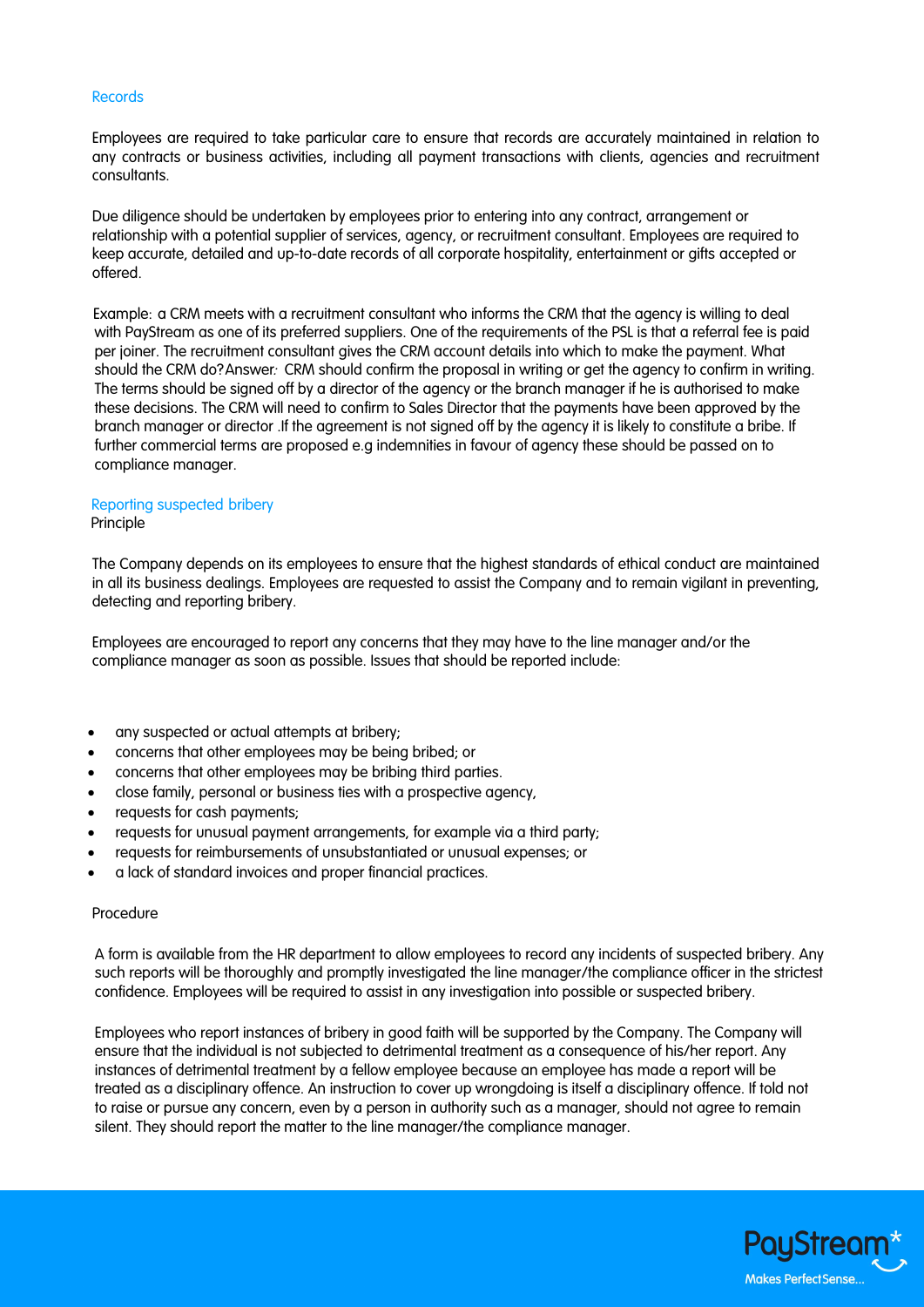## Records

Employees are required to take particular care to ensure that records are accurately maintained in relation to any contracts or business activities, including all payment transactions with clients, agencies and recruitment consultants.

Due diligence should be undertaken by employees prior to entering into any contract, arrangement or relationship with a potential supplier of services, agency, or recruitment consultant. Employees are required to keep accurate, detailed and up-to-date records of all corporate hospitality, entertainment or gifts accepted or offered.

Example: a CRM meets with a recruitment consultant who informs the CRM that the agency is willing to deal with PayStream as one of its preferred suppliers. One of the requirements of the PSL is that a referral fee is paid per joiner. The recruitment consultant gives the CRM account details into which to make the payment. What should the CRM do? Answer: CRM should confirm the proposal in writing or get the agency to confirm in writing. The terms should be signed off by a director of the agency or the branch manager if he is authorised to make these decisions. The CRM will need to confirm to Sales Director that the payments have been approved by the branch manager or director .If the agreement is not signed off by the agency it is likely to constitute a bribe. If further commercial terms are proposed e.g indemnities in favour of agency these should be passed on to compliance manager.

# Reporting suspected bribery

#### Principle

The Company depends on its employees to ensure that the highest standards of ethical conduct are maintained in all its business dealings. Employees are requested to assist the Company and to remain vigilant in preventing, detecting and reporting bribery.

Employees are encouraged to report any concerns that they may have to the line manager and/or the compliance manager as soon as possible. Issues that should be reported include:

- any suspected or actual attempts at bribery;
- concerns that other employees may be being bribed; or
- concerns that other employees may be bribing third parties.
- close family, personal or business ties with a prospective agency,
- requests for cash payments;
- requests for unusual payment arrangements, for example via a third party;
- requests for reimbursements of unsubstantiated or unusual expenses; or
- a lack of standard invoices and proper financial practices.

## Procedure

A form is available from the HR department to allow employees to record any incidents of suspected bribery. Any such reports will be thoroughly and promptly investigated the line manager/the compliance officer in the strictest confidence. Employees will be required to assist in any investigation into possible or suspected bribery.

Employees who report instances of bribery in good faith will be supported by the Company. The Company will ensure that the individual is not subjected to detrimental treatment as a consequence of his/her report. Any instances of detrimental treatment by a fellow employee because an employee has made a report will be treated as a disciplinary offence. An instruction to cover up wrongdoing is itself a disciplinary offence. If told not to raise or pursue any concern, even by a person in authority such as a manager, should not agree to remain silent. They should report the matter to the line manager/the compliance manager.